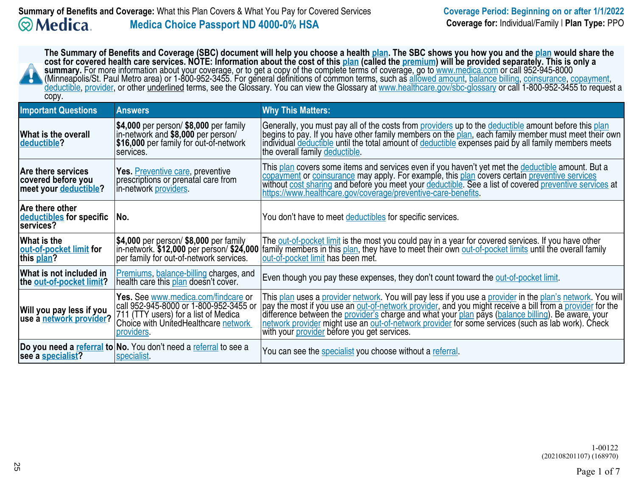| The Summary of Benefits and Coverage (SBC) document will help you choose a health <u>plan</u> . The SBC shows you how you and the <u>plan</u> would share the<br>cost for covered health care services. NOTE: Information about the cost of this plan (called the premium) will be provided separately. This is only a<br>summary. For more information about your coverage, or to get a copy of the complete terms of coverage, go to www.medica.com or call 952-945-8000 (Minneapolis/St. Paul Metro area) or 1-800-952-3455. For general definitions<br>deductible, provider, or other underlined terms, see the Glossary. You can view the Glossary at www.healthcare.gov/sbc-glossary or call 1-800-952-3455 to request a<br>copy. |                                                                                                                                                                             |                                                                                                                                                                                                                                                                                                                                                                                                                                                                                         |  |  |
|-----------------------------------------------------------------------------------------------------------------------------------------------------------------------------------------------------------------------------------------------------------------------------------------------------------------------------------------------------------------------------------------------------------------------------------------------------------------------------------------------------------------------------------------------------------------------------------------------------------------------------------------------------------------------------------------------------------------------------------------|-----------------------------------------------------------------------------------------------------------------------------------------------------------------------------|-----------------------------------------------------------------------------------------------------------------------------------------------------------------------------------------------------------------------------------------------------------------------------------------------------------------------------------------------------------------------------------------------------------------------------------------------------------------------------------------|--|--|
| <b>Important Questions</b>                                                                                                                                                                                                                                                                                                                                                                                                                                                                                                                                                                                                                                                                                                              | <b>Answers</b>                                                                                                                                                              | <b>Why This Matters:</b>                                                                                                                                                                                                                                                                                                                                                                                                                                                                |  |  |
| What is the overall<br>deductible?                                                                                                                                                                                                                                                                                                                                                                                                                                                                                                                                                                                                                                                                                                      | \$4,000 per person/ \$8,000 per family<br>in-network and \$8,000 per person/<br>\$16,000 per family for out-of-network<br>services.                                         | Generally, you must pay all of the costs from providers up to the deductible amount before this plan<br>begins to pay. If you have other family members on the plan, each family member must meet their own<br>individual deductible until the total amount of deductible expenses paid by all family members meets<br>the overall family deductible.                                                                                                                                   |  |  |
| Are there services<br>covered before you<br>meet your deductible?                                                                                                                                                                                                                                                                                                                                                                                                                                                                                                                                                                                                                                                                       | Yes. Preventive care, preventive<br>prescriptions or prenatal care from<br>in-network providers.                                                                            | This plan covers some items and services even if you haven't yet met the deductible amount. But a<br>copayment or coinsurance may apply. For example, this plan covers certain preventive services<br>without cost sharing and before you meet your deductible. See a list of covered preventive services at<br>https://www.healthcare.gov/coverage/preventive-care-benefits.                                                                                                           |  |  |
| Are there other<br>deductibles for specific<br>services?                                                                                                                                                                                                                                                                                                                                                                                                                                                                                                                                                                                                                                                                                | No.                                                                                                                                                                         | You don't have to meet deductibles for specific services.                                                                                                                                                                                                                                                                                                                                                                                                                               |  |  |
| What is the<br>out-of-pocket limit for<br>this plan?                                                                                                                                                                                                                                                                                                                                                                                                                                                                                                                                                                                                                                                                                    | \$4,000 per person/ \$8,000 per family<br>in-network. \$12,000 per person/ \$24,000<br>per family for out-of-network services.                                              | The out-of-pocket limit is the most you could pay in a year for covered services. If you have other<br>family members in this plan, they have to meet their own out-of-pocket limits until the overall family<br>out-of-pocket limit has been met.                                                                                                                                                                                                                                      |  |  |
| What is not included in<br>the out-of-pocket limit?                                                                                                                                                                                                                                                                                                                                                                                                                                                                                                                                                                                                                                                                                     | Premiums, balance-billing charges, and<br>health care this plan doesn't cover.                                                                                              | Even though you pay these expenses, they don't count toward the out-of-pocket limit.                                                                                                                                                                                                                                                                                                                                                                                                    |  |  |
| Will you pay less if you<br>use a network provider?                                                                                                                                                                                                                                                                                                                                                                                                                                                                                                                                                                                                                                                                                     | Yes. See www.medica.com/findcare or<br>call 952-945-8000 or 1-800-952-3455 or<br>711 (TTY users) for a list of Medica<br>Choice with UnitedHealthcare network<br>providers. | This plan uses a provider network. You will pay less if you use a provider in the plan's network. You will<br>pay the most if you use an out-of-network provider, and you might receive a bill from a provider for the<br>difference between the provider's charge and what your plan pays (balance billing). Be aware, your<br>network provider might use an out-of-network provider for some services (such as lab work). Check<br>with your <i>provider</i> before you get services. |  |  |
| see a specialist?                                                                                                                                                                                                                                                                                                                                                                                                                                                                                                                                                                                                                                                                                                                       | Do you need a referral to No. You don't need a referral to see a<br>specialist.                                                                                             | You can see the specialist you choose without a referral.                                                                                                                                                                                                                                                                                                                                                                                                                               |  |  |

1-00122(202108201107) (168970)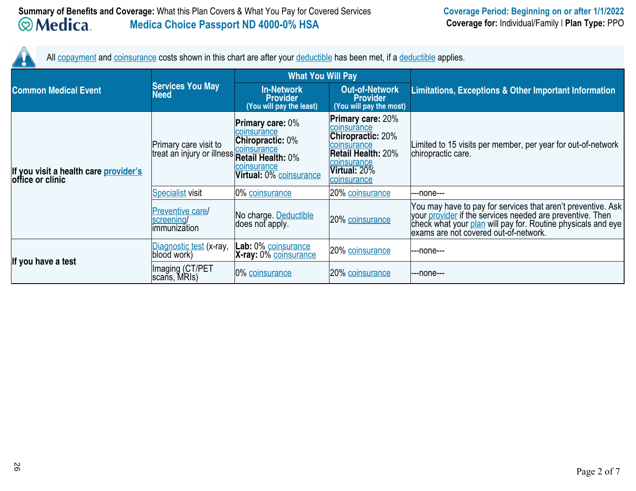All <u>copayment</u> and <u>coinsurance</u> costs shown in this chart are after your <u>deductible</u> has been met, if a <u>deductible</u> applies.

|                                                           |                                                       | <b>What You Will Pay</b>                                                                                                                                             |                                                                                                                                                               |                                                                                                                                                                                                                                    |  |
|-----------------------------------------------------------|-------------------------------------------------------|----------------------------------------------------------------------------------------------------------------------------------------------------------------------|---------------------------------------------------------------------------------------------------------------------------------------------------------------|------------------------------------------------------------------------------------------------------------------------------------------------------------------------------------------------------------------------------------|--|
| <b>Common Medical Event</b>                               | <b>Services You May</b><br>Need                       | <b>In-Network</b><br><b>Provider</b><br>(You will pay the least)                                                                                                     | <b>Out-of-Network</b><br><b>Provider</b><br>(You will pay the most)                                                                                           | <b>Limitations, Exceptions &amp; Other Important Information</b>                                                                                                                                                                   |  |
| If you visit a health care provider's<br>office or clinic | Primary care visit to<br>treat an injury or illness   | <b>Primary care: <math>0\%</math></b><br>coinsurance<br><b>Chiropractic: 0%</b><br>coinsurance<br><b>Retail Health: 0%</b><br>coinsurance<br>Virtual: 0% coinsurance | <b>Primary care: 20%</b><br>coinsurance<br><b>Chiropractic: 20%</b><br>coinsurance<br><b>Retail Health: 20%</b><br>coinsurance<br>Virtual: 20%<br>coinsurance | Limited to 15 visits per member, per year for out-of-network<br>chiropractic care.                                                                                                                                                 |  |
|                                                           | <b>Specialist visit</b>                               | 0% coinsurance                                                                                                                                                       | 20% coinsurance                                                                                                                                               | ---none---                                                                                                                                                                                                                         |  |
|                                                           | <b>Preventive care/</b><br>screening/<br>immunization | No charge. Deductible<br>does not apply.                                                                                                                             | 20% coinsurance                                                                                                                                               | You may have to pay for services that aren't preventive. Ask<br>your provider if the services needed are preventive. Then<br>check what your plan will pay for. Routine physicals and eye<br>exams are not covered out-of-network. |  |
| If you have a test                                        | Diagnostic test (x-ray,<br>blood work)                | Lab: 0% coinsurance<br>X-ray: 0% coinsurance                                                                                                                         | 20% coinsurance                                                                                                                                               | ---none---                                                                                                                                                                                                                         |  |
|                                                           | Imaging (CT/PET<br>scans, MRIs)                       | 0% coinsurance                                                                                                                                                       | 20% coinsurance                                                                                                                                               | ---none---                                                                                                                                                                                                                         |  |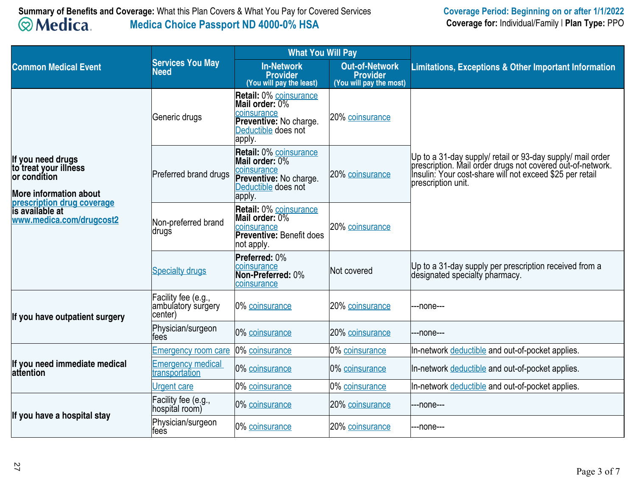|                                                                                                                                                                          |                                                                | <b>What You Will Pay</b>                                                                                                  |                                                                     |                                                                                                                                                                                                             |  |
|--------------------------------------------------------------------------------------------------------------------------------------------------------------------------|----------------------------------------------------------------|---------------------------------------------------------------------------------------------------------------------------|---------------------------------------------------------------------|-------------------------------------------------------------------------------------------------------------------------------------------------------------------------------------------------------------|--|
| <b>Common Medical Event</b>                                                                                                                                              | <b>Services You May</b><br><b>Need</b>                         | <b>In-Network</b><br><b>Provider</b><br>(You will pay the least)                                                          | <b>Out-of-Network</b><br><b>Provider</b><br>(You will pay the most) | Limitations, Exceptions & Other Important Information                                                                                                                                                       |  |
|                                                                                                                                                                          | Generic drugs                                                  | <b>Retail: 0% coinsurance</b><br>Mail order: 0%<br>coinsurance<br>Preventive: No charge.<br>Deductible does not<br>apply. | 20% coinsurance                                                     |                                                                                                                                                                                                             |  |
| If you need drugs<br>to treat your illness<br>or condítion<br><b>More information about</b><br>prescription drug coverage<br>is available at<br>www.medica.com/drugcost2 | Preferred brand drugs                                          | <b>Retail: 0% coinsurance</b><br>Mail order: 0%<br>coinsurance<br>Preventive: No charge.<br>Deductible does not<br>apply. | 20% coinsurance                                                     | Up to a 31-day supply/ retail or 93-day supply/ mail order<br>prescription. Mail order drugs not covered out-of-network.<br> Insulin: Your cost-share will not exceed \$25 per retail<br>prescription unit. |  |
|                                                                                                                                                                          | Non-preferred brand<br>∣drugṡ                                  | <b>Retail: 0% coinsurance</b><br>Mail order: 0%<br>coinsurance<br><b>Preventive: Benefit does</b><br>not apply.           | 20% coinsurance                                                     |                                                                                                                                                                                                             |  |
|                                                                                                                                                                          | <b>Specialty drugs</b>                                         | Preferred: 0%<br><b>coinsurance</b><br>Non-Preferred: 0%<br>coinsurance                                                   | Not covered                                                         | Up to a 31-day supply per prescription received from a<br>designated specialty pharmacy.                                                                                                                    |  |
| If you have outpatient surgery                                                                                                                                           | Facility fee (e.g.,<br>ambulatory surgery<br>center)           | 0% coinsurance                                                                                                            | 20% coinsurance                                                     | ---none---                                                                                                                                                                                                  |  |
|                                                                                                                                                                          | Physician/surgeon<br>tees                                      | 0% coinsurance                                                                                                            | 20% coinsurance                                                     | ---none---                                                                                                                                                                                                  |  |
|                                                                                                                                                                          | <b>Emergency room care</b>                                     | 0% coinsurance                                                                                                            | 0% coinsurance                                                      | In-network deductible and out-of-pocket applies.                                                                                                                                                            |  |
| If you need immediate medical<br><b>lattention</b>                                                                                                                       | <b>Emergency medical</b><br><u>Emorgonoy</u><br>transportation | 0% coinsurance                                                                                                            | 0% coinsurance                                                      | In-network deductible and out-of-pocket applies.                                                                                                                                                            |  |
|                                                                                                                                                                          | <b>Urgent care</b>                                             | 0% coinsurance                                                                                                            | 0% coinsurance                                                      | In-network deductible and out-of-pocket applies.                                                                                                                                                            |  |
| If you have a hospital stay                                                                                                                                              | Facility fee (e.g.,<br>hospital room)                          | 0% coinsurance                                                                                                            | 20% coinsurance                                                     | --none---                                                                                                                                                                                                   |  |
|                                                                                                                                                                          | Physician/surgeon<br>fees                                      | 0% coinsurance                                                                                                            | 20% coinsurance                                                     | ---none---                                                                                                                                                                                                  |  |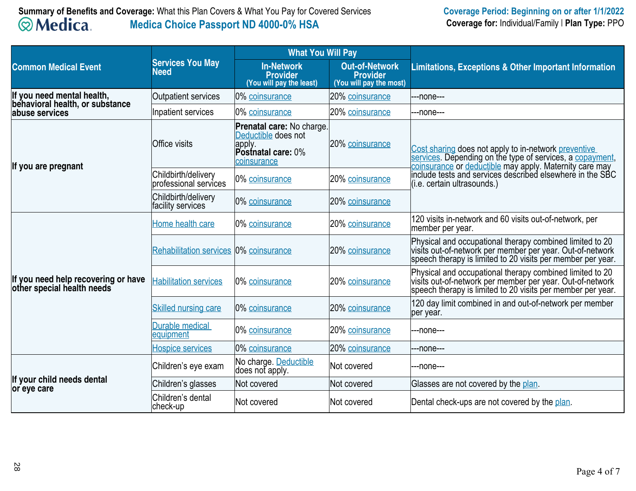# **Summary of Benefits and Coverage:** What this Plan Covers & What You Pay for Covered Services**Medica Choice Passport ND 4000-0% HSA**

|                                                                   | <b>Services You May</b><br><b>Need</b>       | <b>What You Will Pay</b>                                                                               |                                                                     |                                                                                                                                                                                                                                         |  |
|-------------------------------------------------------------------|----------------------------------------------|--------------------------------------------------------------------------------------------------------|---------------------------------------------------------------------|-----------------------------------------------------------------------------------------------------------------------------------------------------------------------------------------------------------------------------------------|--|
| <b>Common Medical Event</b>                                       |                                              | <b>In-Network</b><br><b>Provider</b><br>(You will pay the least)                                       | <b>Out-of-Network</b><br><b>Provider</b><br>(You will pay the most) | <b>Limitations, Exceptions &amp; Other Important Information</b>                                                                                                                                                                        |  |
| If you need mental health,<br>behavioral health, or substance     | <b>Outpatient services</b>                   | 0% coinsurance                                                                                         | 20% coinsurance                                                     | ---none---                                                                                                                                                                                                                              |  |
| labuse services                                                   | Inpatient services                           | 0% coinsurance                                                                                         | 20% coinsurance                                                     | ---none---                                                                                                                                                                                                                              |  |
| If you are pregnant                                               | <b>Office visits</b>                         | <b>Prenatal care:</b> No charge.<br>Deductible does not<br>apply.<br>Postnatal care: 0%<br>coinsurance | 20% coinsurance                                                     | Cost sharing does not apply to in-network preventive<br>services. Depending on the type of services, a copayment,<br>coinsurance or deductible may apply. Maternity care may<br>include tests and services described elsewhere in the S |  |
|                                                                   | Childbirth/delivery<br>professional services | 0% coinsurance                                                                                         | 20% coinsurance                                                     | (i.e. certain ultrasounds.)                                                                                                                                                                                                             |  |
|                                                                   | Childbirth/delivery<br>facility services     | 0% coinsurance                                                                                         | 20% coinsurance                                                     |                                                                                                                                                                                                                                         |  |
| If you need help recovering or have<br>other special health needs | Home health care                             | 0% coinsurance                                                                                         | 20% coinsurance                                                     | 120 visits in-network and 60 visits out-of-network, per<br>member per year.                                                                                                                                                             |  |
|                                                                   | Rehabilitation services 0% coinsurance       |                                                                                                        | 20% coinsurance                                                     | Physical and occupational therapy combined limited to 20<br>visits out-of-network per member per year. Out-of-network<br>speech therapy is limited to 20 visits per member per year.                                                    |  |
|                                                                   | <b>Habilitation services</b>                 | 0% coinsurance                                                                                         | 20% coinsurance                                                     | Physical and occupational therapy combined limited to 20<br>visits out-of-network per member per year. Out-of-network<br>speech therapy is limited to 20 visits per member per year.                                                    |  |
|                                                                   | <b>Skilled nursing care</b>                  | 0% coinsurance                                                                                         | 20% coinsurance                                                     | 120 day limit combined in and out-of-network per member<br>per year.                                                                                                                                                                    |  |
|                                                                   | <b>Durable medical</b><br>equipment          | 0% coinsurance                                                                                         | 20% coinsurance                                                     | ---none---                                                                                                                                                                                                                              |  |
|                                                                   | <b>Hospice services</b>                      | 0% coinsurance                                                                                         | 20% coinsurance                                                     | ---none---                                                                                                                                                                                                                              |  |
|                                                                   | Children's eye exam                          | No charge. Deductible<br>does not apply.                                                               | Not covered                                                         | ---none---                                                                                                                                                                                                                              |  |
| If your child needs dental<br>or eye care                         | Children's glasses                           | Not covered                                                                                            | Not covered                                                         | Glasses are not covered by the plan.                                                                                                                                                                                                    |  |
|                                                                   | Children's dental<br>check-up                | Not covered                                                                                            | Not covered                                                         | Dental check-ups are not covered by the plan.                                                                                                                                                                                           |  |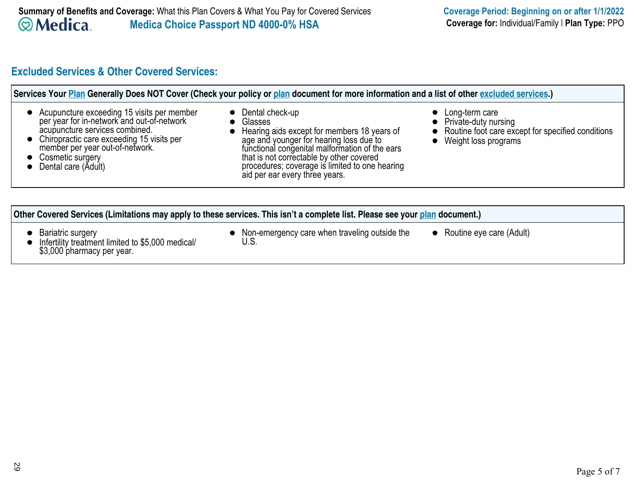# **Excluded Services & Other Covered Services:**

| Acupuncture exceeding 15 visits per member<br>per year for in-network and out-of-network<br>acupuncture services combined.<br>Chiropractic care exceeding 15 visits per<br>member per year out-of-network.<br>Cosmetic surgery<br>Dental care (Adult) | • Dental check-up<br>• Glasses<br>• Hearing aids except for members 18 years of<br>age and younger for hearing loss due to<br>functional congenital malformation of the ears<br>that is not correctable by other covered<br>procedures; coverage is limited to one hearing<br>aid per ear every three years. | Long-term care<br>Private-duty nursing<br>Routine foot care except for specified conditions<br>Weight loss programs |  |  |  |
|-------------------------------------------------------------------------------------------------------------------------------------------------------------------------------------------------------------------------------------------------------|--------------------------------------------------------------------------------------------------------------------------------------------------------------------------------------------------------------------------------------------------------------------------------------------------------------|---------------------------------------------------------------------------------------------------------------------|--|--|--|
| Other Covered Services (Limitations may apply to these services. This isn't a complete list. Please see your plan document.)                                                                                                                          |                                                                                                                                                                                                                                                                                                              |                                                                                                                     |  |  |  |

 $\bullet$ 

- Non-emergency care when traveling outside the U.S.
- Routine eye care (Adult)

Bariatric surgery Infertility treatment limited to \$5,000 medical/ \$3,000 pharmacy per year.  $\bullet$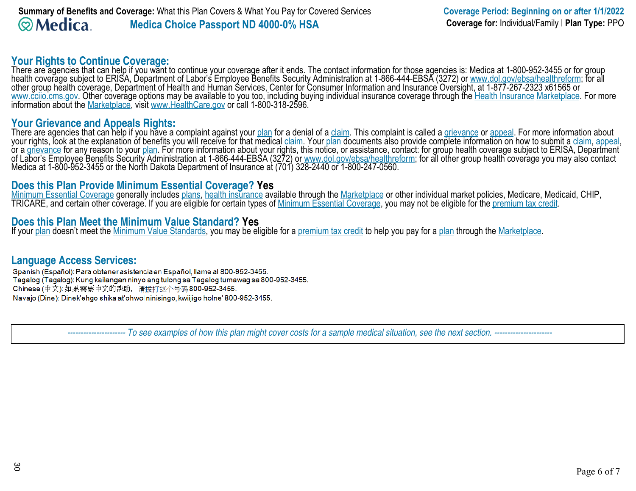**Your Rights to Continue Coverage:**<br>There are agencies that can help if you want to continue your coverage after it ends. The contact information for those agencies is: Medica at 1-800-952-3455 or for group<br>health coverage other group health coverage, Department of Health and Human Services, Center for Consumer Information and Insurance Oversight, at 1-877-267-2323 x61565 or www.cciio.cms.gov. Other coverage options may be available to you too, including buying individual insurance coverage through the Health Insurance Marketplace. For more information about the Marketplace, visit www.HealthCare.gov or call 1-800-318-2596.

## **Your Grievance and Appeals Rights:**

There are agencies that can help if you have a complaint against your <u>plan</u> for a denial of a <u>claim</u>. This complaint is called a <u>grievance</u> or <u>appeal</u>. For more information about<br>your rights, look at the explanation of or a <u>grievance</u> for any reason to your <u>plan</u>. For more information about your rights, this notice, or assistance, contact: for group health coverage subject to ERISA, Department<br>of Labor's Employee Benefits Security Admi

# **Does this Plan Provide Minimum Essential Coverage? Yes**

<u>Minimum Essential Coverage</u> generally includes <u>plans, health insurance</u> available through the <u>Marketplace</u> or other individual market policies, Medicare, Medicaid, CHIP,<br>TRICARE, and certain other coverage. If you are e

# **Does this Plan Meet the Minimum Value Standard? Yes**

If your <u>plan</u> doesn't meet the <u>Minimum Value Standards</u>, you may be eligible for a <u>premium tax credit</u> to help you pay for a <u>plan</u> through the <u>Marketplace</u>.

# **Language Access Services:**

Spanish (Español): Para obtener asistencia en Español, llame al 800-952-3455. Tagalog (Tagalog): Kung kailangan ninyo ang tulong sa Tagalog tumawag sa 800-952-3455. Chinese (中文): 如果需要中文的帮助, 请拨打这个号码800-952-3455. Navajo (Dine): Dinek'ehgo shika at'ohwol ninisingo, kwiijigo holne' 800-952-3455.

 *---------------------- To see examples of how this plan might cover costs for a sample medical situation, see the next section. ----------------------*